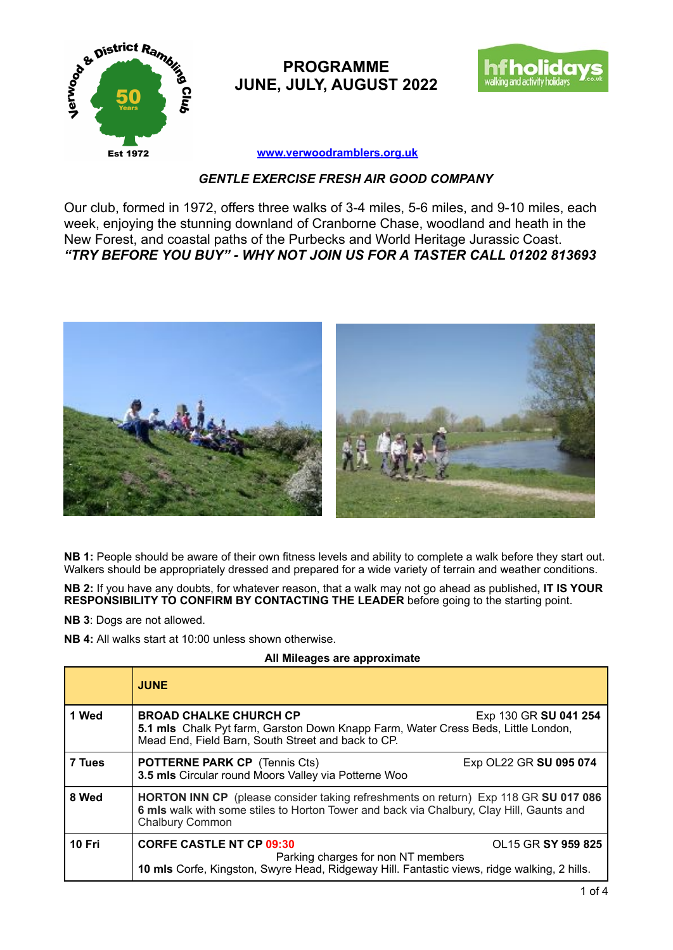

**PROGRAMME JUNE, JULY, AUGUST 2022**



**[www.verwoodramblers.org.uk](http://www.verwoodramblers.org.uk)**

## *GENTLE EXERCISE FRESH AIR GOOD COMPANY*

Our club, formed in 1972, offers three walks of 3-4 miles, 5-6 miles, and 9-10 miles, each week, enjoying the stunning downland of Cranborne Chase, woodland and heath in the New Forest, and coastal paths of the Purbecks and World Heritage Jurassic Coast. *"TRY BEFORE YOU BUY" - WHY NOT JOIN US FOR A TASTER CALL 01202 813693* 



**NB 1:** People should be aware of their own fitness levels and ability to complete a walk before they start out. Walkers should be appropriately dressed and prepared for a wide variety of terrain and weather conditions.

**NB 2:** If you have any doubts, for whatever reason, that a walk may not go ahead as published**, IT IS YOUR RESPONSIBILITY TO CONFIRM BY CONTACTING THE LEADER** before going to the starting point.

**NB 3**: Dogs are not allowed.

**NB 4:** All walks start at 10:00 unless shown otherwise.

## **All Mileages are approximate**

|        | <b>JUNE</b>                                                                                                                                                                                               |
|--------|-----------------------------------------------------------------------------------------------------------------------------------------------------------------------------------------------------------|
| 1 Wed  | <b>BROAD CHALKE CHURCH CP</b><br>Exp 130 GR SU 041 254<br>5.1 mls Chalk Pyt farm, Garston Down Knapp Farm, Water Cress Beds, Little London,<br>Mead End, Field Barn, South Street and back to CP.         |
| 7 Tues | Exp OL22 GR SU 095 074<br><b>POTTERNE PARK CP</b> (Tennis Cts)<br>3.5 mls Circular round Moors Valley via Potterne Woo                                                                                    |
| 8 Wed  | <b>HORTON INN CP</b> (please consider taking refreshments on return) Exp 118 GR SU 017 086<br>6 mls walk with some stiles to Horton Tower and back via Chalbury, Clay Hill, Gaunts and<br>Chalbury Common |
| 10 Fri | <b>CORFE CASTLE NT CP 09:30</b><br>OL15 GR SY 959 825<br>Parking charges for non NT members<br>10 mls Corfe, Kingston, Swyre Head, Ridgeway Hill. Fantastic views, ridge walking, 2 hills.                |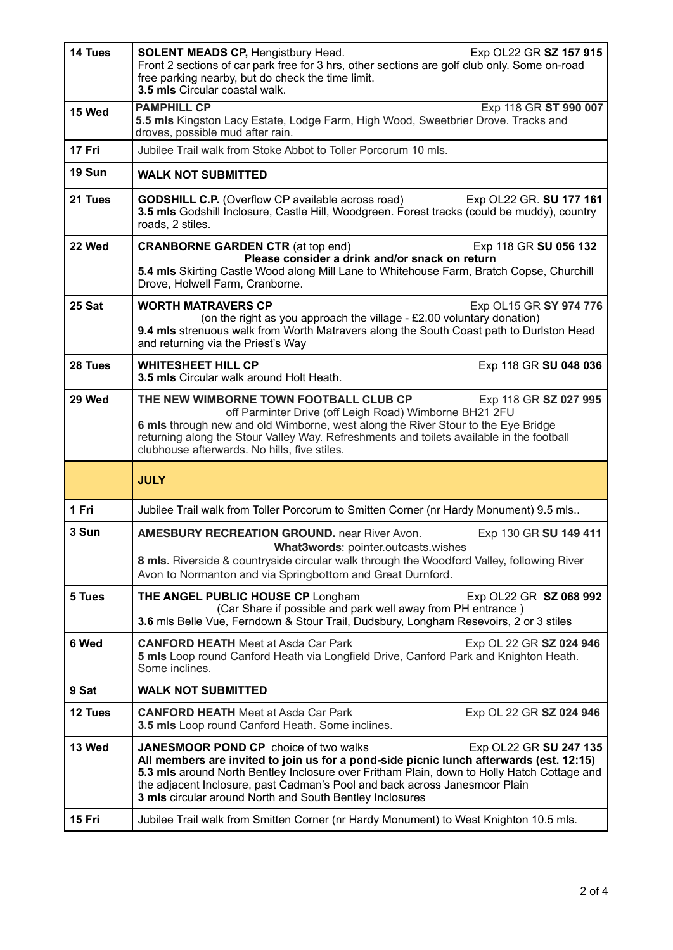| 14 Tues | Exp OL22 GR SZ 157 915<br><b>SOLENT MEADS CP, Hengistbury Head.</b><br>Front 2 sections of car park free for 3 hrs, other sections are golf club only. Some on-road<br>free parking nearby, but do check the time limit.<br>3.5 mls Circular coastal walk.                                                                                                                                                |
|---------|-----------------------------------------------------------------------------------------------------------------------------------------------------------------------------------------------------------------------------------------------------------------------------------------------------------------------------------------------------------------------------------------------------------|
| 15 Wed  | <b>PAMPHILL CP</b><br>Exp 118 GR ST 990 007<br>5.5 mls Kingston Lacy Estate, Lodge Farm, High Wood, Sweetbrier Drove. Tracks and<br>droves, possible mud after rain.                                                                                                                                                                                                                                      |
| 17 Fri  | Jubilee Trail walk from Stoke Abbot to Toller Porcorum 10 mls.                                                                                                                                                                                                                                                                                                                                            |
| 19 Sun  | <b>WALK NOT SUBMITTED</b>                                                                                                                                                                                                                                                                                                                                                                                 |
| 21 Tues | <b>GODSHILL C.P.</b> (Overflow CP available across road)<br>Exp OL22 GR. SU 177 161<br>3.5 mls Godshill Inclosure, Castle Hill, Woodgreen. Forest tracks (could be muddy), country<br>roads, 2 stiles.                                                                                                                                                                                                    |
| 22 Wed  | <b>CRANBORNE GARDEN CTR (at top end)</b><br>Exp 118 GR SU 056 132<br>Please consider a drink and/or snack on return<br>5.4 mls Skirting Castle Wood along Mill Lane to Whitehouse Farm, Bratch Copse, Churchill<br>Drove, Holwell Farm, Cranborne.                                                                                                                                                        |
| 25 Sat  | <b>WORTH MATRAVERS CP</b><br>Exp OL15 GR SY 974 776<br>(on the right as you approach the village - £2.00 voluntary donation)<br>9.4 mls strenuous walk from Worth Matravers along the South Coast path to Durlston Head<br>and returning via the Priest's Way                                                                                                                                             |
| 28 Tues | <b>WHITESHEET HILL CP</b><br>Exp 118 GR SU 048 036<br>3.5 mls Circular walk around Holt Heath.                                                                                                                                                                                                                                                                                                            |
| 29 Wed  | THE NEW WIMBORNE TOWN FOOTBALL CLUB CP<br>Exp 118 GR SZ 027 995<br>off Parminter Drive (off Leigh Road) Wimborne BH21 2FU<br>6 mls through new and old Wimborne, west along the River Stour to the Eye Bridge<br>returning along the Stour Valley Way. Refreshments and toilets available in the football<br>clubhouse afterwards. No hills, five stiles.                                                 |
|         | <b>JULY</b>                                                                                                                                                                                                                                                                                                                                                                                               |
| 1 Fri   | Jubilee Trail walk from Toller Porcorum to Smitten Corner (nr Hardy Monument) 9.5 mls                                                                                                                                                                                                                                                                                                                     |
| 3 Sun   | <b>AMESBURY RECREATION GROUND.</b> near River Avon.<br>Exp 130 GR SU 149 411<br><b>What3words: pointer.outcasts.wishes</b><br>8 mls. Riverside & countryside circular walk through the Woodford Valley, following River<br>Avon to Normanton and via Springbottom and Great Durnford.                                                                                                                     |
| 5 Tues  | THE ANGEL PUBLIC HOUSE CP Longham<br>Exp OL22 GR SZ 068 992<br>(Car Share if possible and park well away from PH entrance)<br>3.6 mls Belle Vue, Ferndown & Stour Trail, Dudsbury, Longham Resevoirs, 2 or 3 stiles                                                                                                                                                                                       |
| 6 Wed   | <b>CANFORD HEATH</b> Meet at Asda Car Park<br>Exp OL 22 GR SZ 024 946<br>5 mls Loop round Canford Heath via Longfield Drive, Canford Park and Knighton Heath.<br>Some inclines.                                                                                                                                                                                                                           |
| 9 Sat   | <b>WALK NOT SUBMITTED</b>                                                                                                                                                                                                                                                                                                                                                                                 |
| 12 Tues | <b>CANFORD HEATH</b> Meet at Asda Car Park<br>Exp OL 22 GR SZ 024 946<br>3.5 mls Loop round Canford Heath. Some inclines.                                                                                                                                                                                                                                                                                 |
| 13 Wed  | <b>JANESMOOR POND CP</b> choice of two walks<br>Exp OL22 GR SU 247 135<br>All members are invited to join us for a pond-side picnic lunch afterwards (est. 12:15)<br>5.3 mls around North Bentley Inclosure over Fritham Plain, down to Holly Hatch Cottage and<br>the adjacent Inclosure, past Cadman's Pool and back across Janesmoor Plain<br>3 mls circular around North and South Bentley Inclosures |
| 15 Fri  | Jubilee Trail walk from Smitten Corner (nr Hardy Monument) to West Knighton 10.5 mls.                                                                                                                                                                                                                                                                                                                     |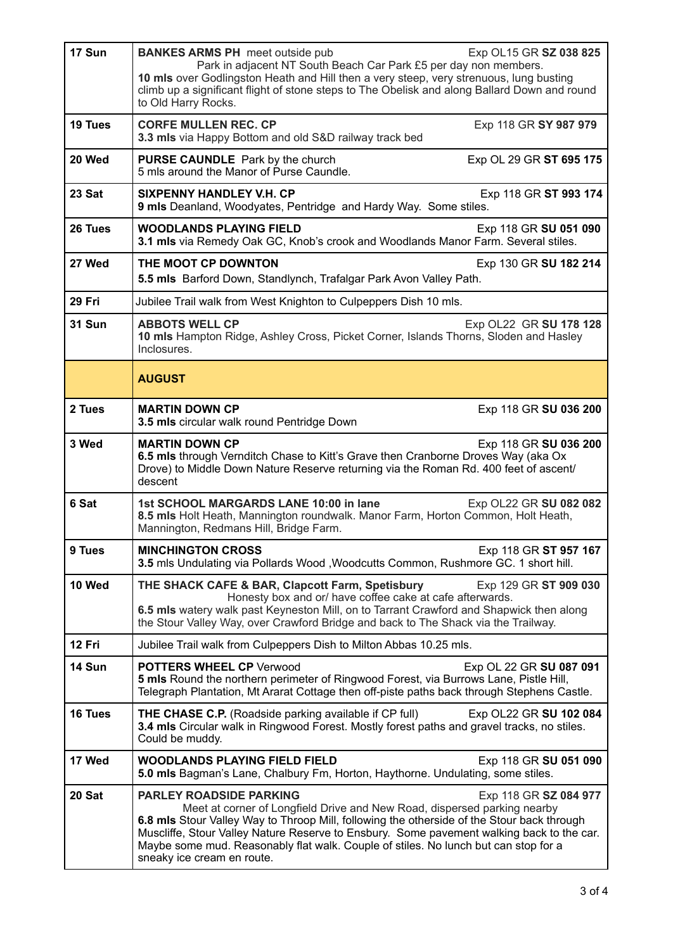| 17 Sun        | <b>BANKES ARMS PH</b> meet outside pub<br>Exp OL15 GR SZ 038 825<br>Park in adjacent NT South Beach Car Park £5 per day non members.<br>10 mls over Godlingston Heath and Hill then a very steep, very strenuous, lung busting<br>climb up a significant flight of stone steps to The Obelisk and along Ballard Down and round<br>to Old Harry Rocks.                                                                                               |
|---------------|-----------------------------------------------------------------------------------------------------------------------------------------------------------------------------------------------------------------------------------------------------------------------------------------------------------------------------------------------------------------------------------------------------------------------------------------------------|
| 19 Tues       | <b>CORFE MULLEN REC. CP</b><br>Exp 118 GR SY 987 979<br>3.3 mls via Happy Bottom and old S&D railway track bed                                                                                                                                                                                                                                                                                                                                      |
| 20 Wed        | <b>PURSE CAUNDLE</b> Park by the church<br>Exp OL 29 GR ST 695 175<br>5 mls around the Manor of Purse Caundle.                                                                                                                                                                                                                                                                                                                                      |
| 23 Sat        | <b>SIXPENNY HANDLEY V.H. CP</b><br>Exp 118 GR ST 993 174<br>9 mls Deanland, Woodyates, Pentridge and Hardy Way. Some stiles.                                                                                                                                                                                                                                                                                                                        |
| 26 Tues       | <b>WOODLANDS PLAYING FIELD</b><br>Exp 118 GR SU 051 090<br>3.1 mls via Remedy Oak GC, Knob's crook and Woodlands Manor Farm. Several stiles.                                                                                                                                                                                                                                                                                                        |
| 27 Wed        | THE MOOT CP DOWNTON<br>Exp 130 GR SU 182 214<br>5.5 mls Barford Down, Standlynch, Trafalgar Park Avon Valley Path.                                                                                                                                                                                                                                                                                                                                  |
| 29 Fri        | Jubilee Trail walk from West Knighton to Culpeppers Dish 10 mls.                                                                                                                                                                                                                                                                                                                                                                                    |
| <b>31 Sun</b> | <b>ABBOTS WELL CP</b><br>Exp OL22 GR SU 178 128<br>10 mls Hampton Ridge, Ashley Cross, Picket Corner, Islands Thorns, Sloden and Hasley<br>Inclosures.                                                                                                                                                                                                                                                                                              |
|               | <b>AUGUST</b>                                                                                                                                                                                                                                                                                                                                                                                                                                       |
| 2 Tues        | <b>MARTIN DOWN CP</b><br>Exp 118 GR SU 036 200<br>3.5 mls circular walk round Pentridge Down                                                                                                                                                                                                                                                                                                                                                        |
| 3 Wed         | <b>MARTIN DOWN CP</b><br>Exp 118 GR SU 036 200<br>6.5 mls through Vernditch Chase to Kitt's Grave then Cranborne Droves Way (aka Ox<br>Drove) to Middle Down Nature Reserve returning via the Roman Rd. 400 feet of ascent/<br>descent                                                                                                                                                                                                              |
| 6 Sat         | 1st SCHOOL MARGARDS LANE 10:00 in lane<br>Exp OL22 GR SU 082 082<br>8.5 mls Holt Heath, Mannington roundwalk. Manor Farm, Horton Common, Holt Heath,<br>Mannington, Redmans Hill, Bridge Farm.                                                                                                                                                                                                                                                      |
| 9 Tues        | Exp 118 GR ST 957 167<br><b>MINCHINGTON CROSS</b><br>3.5 mls Undulating via Pollards Wood , Woodcutts Common, Rushmore GC. 1 short hill.                                                                                                                                                                                                                                                                                                            |
| 10 Wed        | THE SHACK CAFE & BAR, Clapcott Farm, Spetisbury<br>Exp 129 GR ST 909 030<br>Honesty box and or/ have coffee cake at cafe afterwards.<br>6.5 mls watery walk past Keyneston Mill, on to Tarrant Crawford and Shapwick then along<br>the Stour Valley Way, over Crawford Bridge and back to The Shack via the Trailway.                                                                                                                               |
| 12 Fri        | Jubilee Trail walk from Culpeppers Dish to Milton Abbas 10.25 mls.                                                                                                                                                                                                                                                                                                                                                                                  |
| 14 Sun        | <b>POTTERS WHEEL CP Verwood</b><br>Exp OL 22 GR SU 087 091<br>5 mls Round the northern perimeter of Ringwood Forest, via Burrows Lane, Pistle Hill,<br>Telegraph Plantation, Mt Ararat Cottage then off-piste paths back through Stephens Castle.                                                                                                                                                                                                   |
| 16 Tues       | <b>THE CHASE C.P.</b> (Roadside parking available if CP full)<br>Exp OL22 GR SU 102 084<br>3.4 mls Circular walk in Ringwood Forest. Mostly forest paths and gravel tracks, no stiles.<br>Could be muddy.                                                                                                                                                                                                                                           |
| 17 Wed        | <b>WOODLANDS PLAYING FIELD FIELD</b><br>Exp 118 GR SU 051 090<br>5.0 mls Bagman's Lane, Chalbury Fm, Horton, Haythorne. Undulating, some stiles.                                                                                                                                                                                                                                                                                                    |
| 20 Sat        | <b>PARLEY ROADSIDE PARKING</b><br>Exp 118 GR SZ 084 977<br>Meet at corner of Longfield Drive and New Road, dispersed parking nearby<br>6.8 mls Stour Valley Way to Throop Mill, following the otherside of the Stour back through<br>Muscliffe, Stour Valley Nature Reserve to Ensbury. Some pavement walking back to the car.<br>Maybe some mud. Reasonably flat walk. Couple of stiles. No lunch but can stop for a<br>sneaky ice cream en route. |